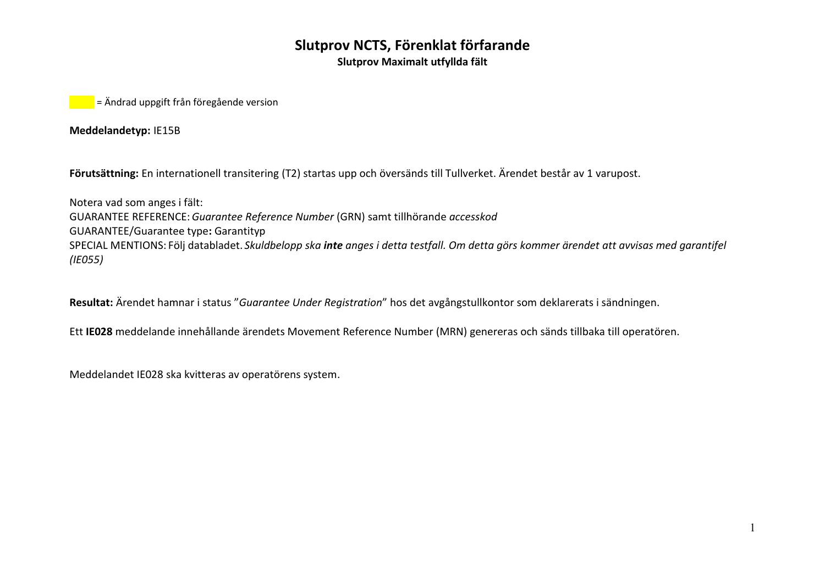**Slutprov Maximalt utfyllda fält**

**z** = Ändrad uppgift från föregående version

**Meddelandetyp:** IE15B

**Förutsättning:** En internationell transitering (T2) startas upp och översänds till Tullverket. Ärendet består av 1 varupost.

Notera vad som anges i fält: GUARANTEE REFERENCE: *Guarantee Reference Number* (GRN) samt tillhörande *accesskod* GUARANTEE/Guarantee type**:** Garantityp SPECIAL MENTIONS: Följ databladet. *Skuldbelopp ska inte anges i detta testfall. Om detta görs kommer ärendet att avvisas med garantifel (IE055)*

**Resultat:** Ärendet hamnar i status "*Guarantee Under Registration*" hos det avgångstullkontor som deklarerats i sändningen.

Ett **IE028** meddelande innehållande ärendets Movement Reference Number (MRN) genereras och sänds tillbaka till operatören.

Meddelandet IE028 ska kvitteras av operatörens system.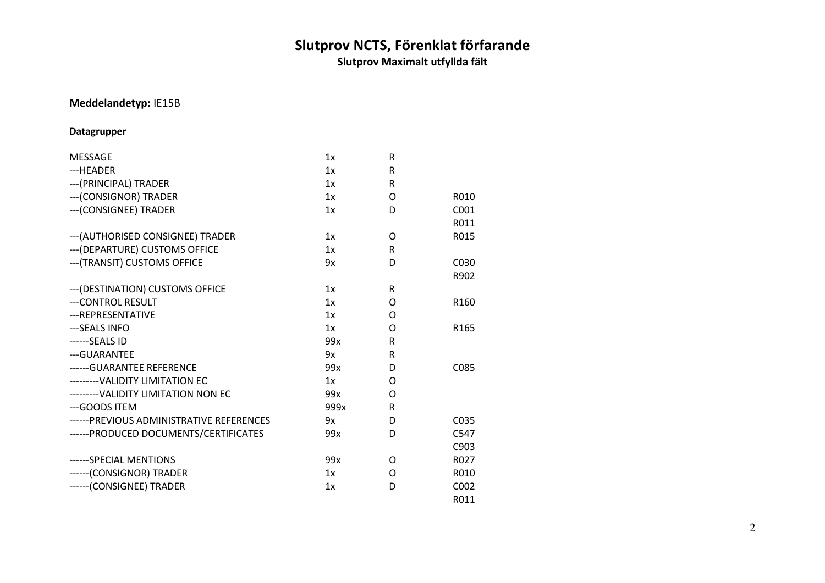**Slutprov Maximalt utfyllda fält**

#### **Meddelandetyp:** IE15B

#### **Datagrupper**

| <b>MESSAGE</b>                            | 1x   | R        |                   |
|-------------------------------------------|------|----------|-------------------|
| ---HEADER                                 | 1x   | R        |                   |
| --- (PRINCIPAL) TRADER                    | 1x   | R        |                   |
| --- (CONSIGNOR) TRADER                    | 1x   | O        | R010              |
| --- (CONSIGNEE) TRADER                    | 1x   | D        | C001              |
|                                           |      |          | R011              |
| --- (AUTHORISED CONSIGNEE) TRADER         | 1x   | O        | R015              |
| --- (DEPARTURE) CUSTOMS OFFICE            | 1x   | R        |                   |
| --- (TRANSIT) CUSTOMS OFFICE              | 9x   | D        | C <sub>0</sub> 30 |
|                                           |      |          | R902              |
| --- (DESTINATION) CUSTOMS OFFICE          | 1x   | R        |                   |
| ---CONTROL RESULT                         | 1x   | O        | R <sub>160</sub>  |
| --- REPRESENTATIVE                        | 1x   | O        |                   |
| ---SEALS INFO                             | 1x   | O        | R165              |
| ------SEALS ID                            | 99x  | R        |                   |
| --- GUARANTEE                             | 9x   | R        |                   |
| ------ GUARANTEE REFERENCE                | 99x  | D        | C085              |
| --------- VALIDITY LIMITATION EC          | 1x   | $\Omega$ |                   |
| --------- VALIDITY LIMITATION NON EC      | 99x  | O        |                   |
| --- GOODS ITEM                            | 999x | R        |                   |
| ------ PREVIOUS ADMINISTRATIVE REFERENCES | 9x   | D        | C <sub>0</sub> 35 |
| ------ PRODUCED DOCUMENTS/CERTIFICATES    | 99x  | D        | C547              |
|                                           |      |          | C903              |
| ------SPECIAL MENTIONS                    | 99x  | O        | R027              |
| ------(CONSIGNOR) TRADER                  | 1x   | O        | R010              |
| ------(CONSIGNEE) TRADER                  | 1x   | D        | C002              |
|                                           |      |          | R011              |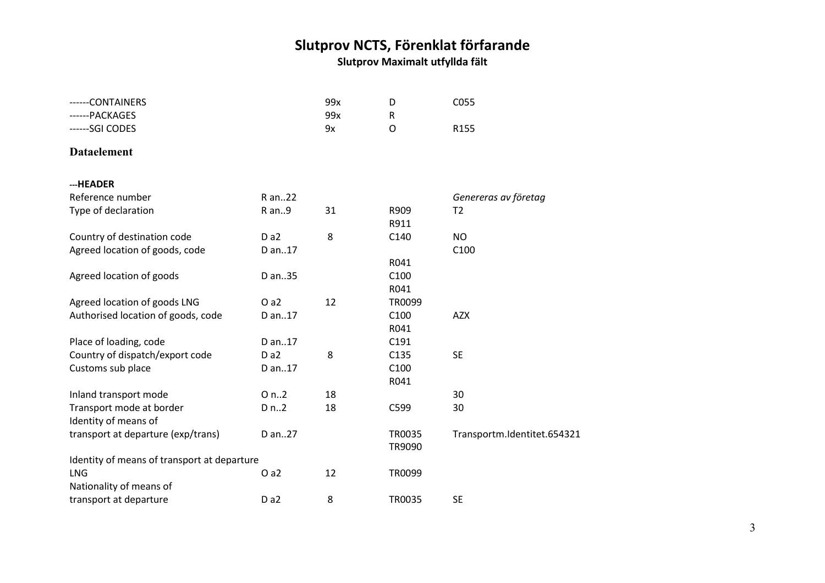| ------CONTAINERS                            |        | 99x | D                | C055                        |
|---------------------------------------------|--------|-----|------------------|-----------------------------|
| ------PACKAGES                              |        | 99x | ${\sf R}$        |                             |
| ------SGI CODES                             |        | 9x  | $\mathsf{O}$     | R155                        |
| <b>Dataelement</b>                          |        |     |                  |                             |
| ---HEADER                                   |        |     |                  |                             |
| Reference number                            | R an22 |     |                  | Genereras av företag        |
| Type of declaration                         | R an9  | 31  | R909             | T <sub>2</sub>              |
|                                             |        |     | R911             |                             |
| Country of destination code                 | Da2    | 8   | C140             | <b>NO</b>                   |
| Agreed location of goods, code              | D an17 |     |                  | C100                        |
|                                             |        |     | R041             |                             |
| Agreed location of goods                    | D an35 |     | C100             |                             |
|                                             |        |     | R041             |                             |
| Agreed location of goods LNG                | Oa2    | 12  | TR0099           |                             |
| Authorised location of goods, code          | D an17 |     | C100             | <b>AZX</b>                  |
|                                             |        |     | R041             |                             |
| Place of loading, code                      | D an17 |     | C191             |                             |
| Country of dispatch/export code             | Da2    | 8   | C135             | <b>SE</b>                   |
| Customs sub place                           | D an17 |     | C100             |                             |
|                                             |        |     | R041             |                             |
| Inland transport mode                       | O n.2  | 18  |                  | 30                          |
| Transport mode at border                    | D n.2  | 18  | C599             | 30                          |
| Identity of means of                        |        |     |                  |                             |
| transport at departure (exp/trans)          | D an27 |     | TR0035<br>TR9090 | Transportm.Identitet.654321 |
| Identity of means of transport at departure |        |     |                  |                             |
| LNG                                         | Oa2    | 12  | TR0099           |                             |
| Nationality of means of                     |        |     |                  |                             |
| transport at departure                      | Da2    | 8   | <b>TR0035</b>    | <b>SE</b>                   |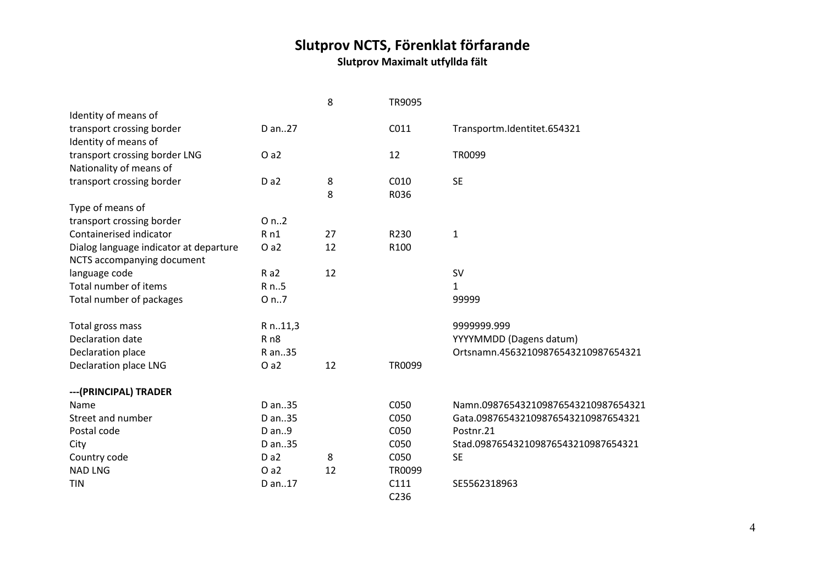### **Slutprov NCTS, Förenklat förfarande Slutprov Maximalt utfyllda fält**

|                                        |                  | 8  | TR9095 |                                     |
|----------------------------------------|------------------|----|--------|-------------------------------------|
| Identity of means of                   |                  |    |        |                                     |
| transport crossing border              | D an27           |    | C011   | Transportm.Identitet.654321         |
| Identity of means of                   |                  |    |        |                                     |
| transport crossing border LNG          | O a2             |    | 12     | TR0099                              |
| Nationality of means of                |                  |    |        |                                     |
| transport crossing border              | D <sub>a</sub> 2 | 8  | C010   | <b>SE</b>                           |
|                                        |                  | 8  | R036   |                                     |
| Type of means of                       |                  |    |        |                                     |
| transport crossing border              | O n.2            |    |        |                                     |
| Containerised indicator                | Rn1              | 27 | R230   | 1                                   |
| Dialog language indicator at departure | O a2             | 12 | R100   |                                     |
| NCTS accompanying document             |                  |    |        |                                     |
| language code                          | Ra2              | 12 |        | <b>SV</b>                           |
| Total number of items                  | R n5             |    |        | $\mathbf{1}$                        |
| Total number of packages               | O n7             |    |        | 99999                               |
| Total gross mass                       | R n11,3          |    |        | 9999999.999                         |
| Declaration date                       | R <sub>n8</sub>  |    |        | YYYYMMDD (Dagens datum)             |
| Declaration place                      | R an35           |    |        | Ortsnamn.45632109876543210987654321 |
| Declaration place LNG                  | O a2             | 12 | TR0099 |                                     |
| --- (PRINCIPAL) TRADER                 |                  |    |        |                                     |
| Name                                   | D an35           |    | C050   | Namn.098765432109876543210987654321 |
| Street and number                      | D an35           |    | C050   | Gata.098765432109876543210987654321 |
| Postal code                            | D an9            |    | C050   | Postnr.21                           |
| City                                   | D an35           |    | C050   | Stad.098765432109876543210987654321 |
| Country code                           | D a <sub>2</sub> | 8  | C050   | <b>SE</b>                           |
| <b>NAD LNG</b>                         | Oa2              | 12 | TR0099 |                                     |
| <b>TIN</b>                             | D an17           |    | C111   | SE5562318963                        |
|                                        |                  |    | C236   |                                     |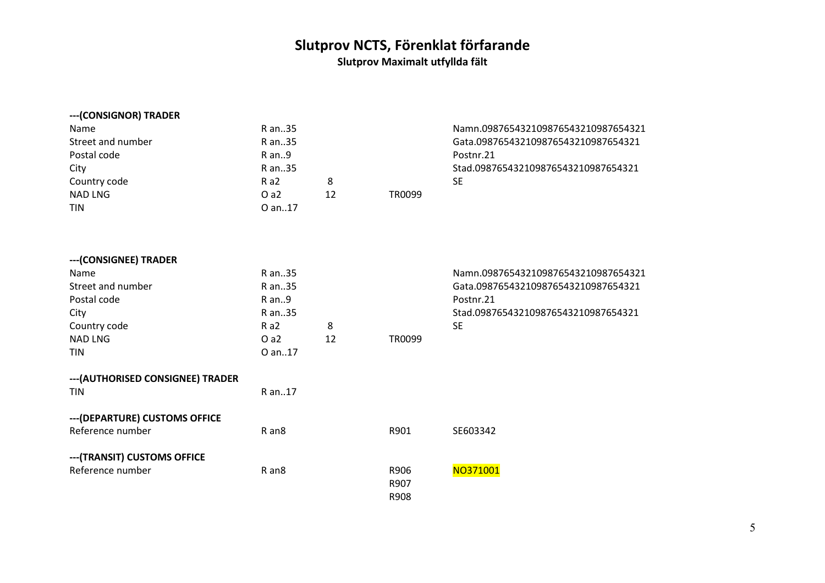| ---(CONSIGNOR) TRADER |            |    |        |                                     |
|-----------------------|------------|----|--------|-------------------------------------|
| Name                  | R an35     |    |        | Namn.098765432109876543210987654321 |
| Street and number     | R an35     |    |        | Gata.098765432109876543210987654321 |
| Postal code           | $R$ an $9$ |    |        | Postnr.21                           |
| City                  | R an35     |    |        | Stad.098765432109876543210987654321 |
| Country code          | Ra2        | 8  |        | SE                                  |
| <b>NAD LNG</b>        | O a2       | 12 | TR0099 |                                     |
| <b>TIN</b>            | O an17     |    |        |                                     |
|                       |            |    |        |                                     |

| --- (CONSIGNEE) TRADER                          |                   |    |        |                                     |
|-------------------------------------------------|-------------------|----|--------|-------------------------------------|
| Name                                            | R an35            |    |        | Namn.098765432109876543210987654321 |
| Street and number                               | R an35            |    |        | Gata.098765432109876543210987654321 |
| Postal code                                     | R an9             |    |        | Postnr.21                           |
| City                                            | R an35            |    |        | Stad.098765432109876543210987654321 |
| Country code                                    | Ra2               | 8  |        | <b>SE</b>                           |
| <b>NAD LNG</b>                                  | O a2              | 12 | TR0099 |                                     |
| TIN                                             | O an17            |    |        |                                     |
| --- (AUTHORISED CONSIGNEE) TRADER<br><b>TIN</b> | R an17            |    |        |                                     |
| --- (DEPARTURE) CUSTOMS OFFICE                  |                   |    |        |                                     |
| Reference number                                | R an <sub>8</sub> |    | R901   | SE603342                            |
| --- (TRANSIT) CUSTOMS OFFICE                    |                   |    |        |                                     |
| Reference number                                | R an <sub>8</sub> |    | R906   | NO371001                            |
|                                                 |                   |    | R907   |                                     |
|                                                 |                   |    | R908   |                                     |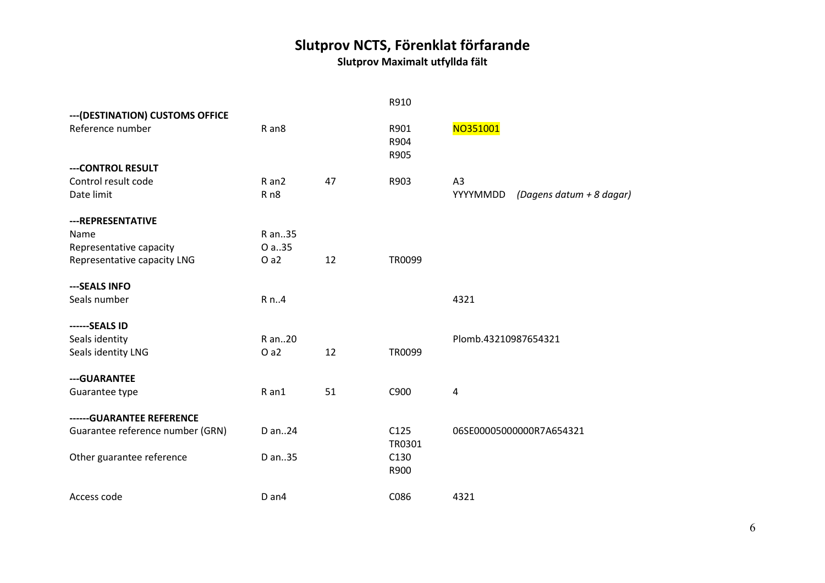|                                  |                   |    | R910   |                                      |
|----------------------------------|-------------------|----|--------|--------------------------------------|
| --- (DESTINATION) CUSTOMS OFFICE |                   |    |        |                                      |
| Reference number                 | R an <sub>8</sub> |    | R901   | NO351001                             |
|                                  |                   |    | R904   |                                      |
|                                  |                   |    | R905   |                                      |
| --- CONTROL RESULT               |                   |    |        |                                      |
| Control result code              | R an2             | 47 | R903   | A <sub>3</sub>                       |
| Date limit                       | R <sub>n8</sub>   |    |        | YYYYMMDD<br>(Dagens datum + 8 dagar) |
| --- REPRESENTATIVE               |                   |    |        |                                      |
| Name                             | R an35            |    |        |                                      |
| Representative capacity          | O a.35            |    |        |                                      |
| Representative capacity LNG      | Oa2               | 12 | TR0099 |                                      |
|                                  |                   |    |        |                                      |
| ---SEALS INFO                    |                   |    |        |                                      |
| Seals number                     | R n4              |    |        | 4321                                 |
| ------SEALS ID                   |                   |    |        |                                      |
| Seals identity                   | R an20            |    |        | Plomb.43210987654321                 |
| Seals identity LNG               | Oa2               | 12 | TR0099 |                                      |
| --- GUARANTEE                    |                   |    |        |                                      |
| Guarantee type                   | R an1             | 51 | C900   | $\overline{4}$                       |
|                                  |                   |    |        |                                      |
| ------ GUARANTEE REFERENCE       |                   |    |        |                                      |
| Guarantee reference number (GRN) | D an24            |    | C125   | 06SE00005000000R7A654321             |
|                                  |                   |    | TR0301 |                                      |
| Other guarantee reference        | D an35            |    | C130   |                                      |
|                                  |                   |    | R900   |                                      |
| Access code                      | D an4             |    | C086   | 4321                                 |
|                                  |                   |    |        |                                      |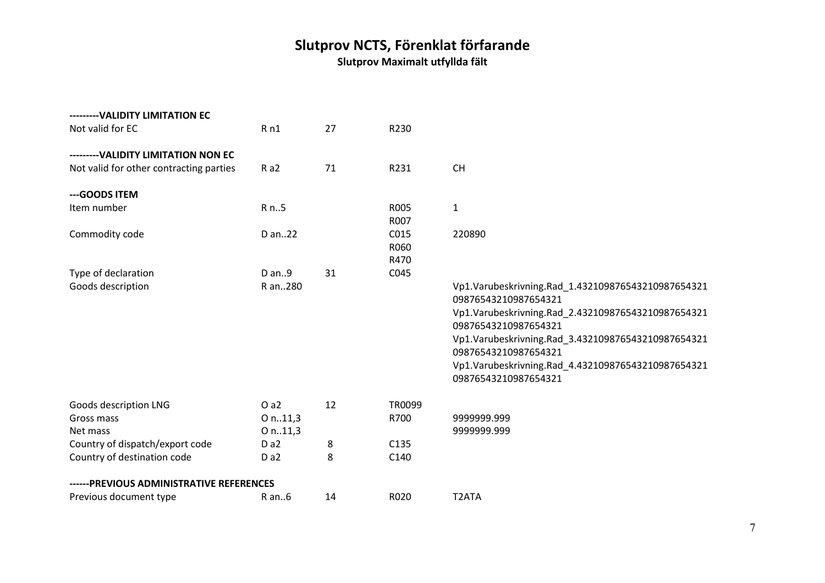| --------- VALIDITY LIMITATION EC<br>Not valid for EC                            | Rn1              | 27 | R230                 |                                                                                                                                                                                                                                                                                                                      |
|---------------------------------------------------------------------------------|------------------|----|----------------------|----------------------------------------------------------------------------------------------------------------------------------------------------------------------------------------------------------------------------------------------------------------------------------------------------------------------|
| --------- VALIDITY LIMITATION NON EC<br>Not valid for other contracting parties | Ra2              | 71 | R231                 | <b>CH</b>                                                                                                                                                                                                                                                                                                            |
| --- GOODS ITEM                                                                  |                  |    |                      |                                                                                                                                                                                                                                                                                                                      |
| Item number                                                                     | R n5             |    | R005<br>R007         | $\mathbf{1}$                                                                                                                                                                                                                                                                                                         |
| Commodity code                                                                  | D an22           |    | C015<br>R060<br>R470 | 220890                                                                                                                                                                                                                                                                                                               |
| Type of declaration                                                             | D an9            | 31 | C045                 |                                                                                                                                                                                                                                                                                                                      |
| Goods description                                                               | R an280          |    |                      | Vp1.Varubeskrivning.Rad 1.432109876543210987654321<br>09876543210987654321<br>Vp1.Varubeskrivning.Rad 2.432109876543210987654321<br>09876543210987654321<br>Vp1.Varubeskrivning.Rad_3.432109876543210987654321<br>09876543210987654321<br>Vp1.Varubeskrivning.Rad_4.432109876543210987654321<br>09876543210987654321 |
| Goods description LNG                                                           | Oa2              | 12 | TR0099               |                                                                                                                                                                                                                                                                                                                      |
| Gross mass                                                                      | O n.11,3         |    | R700                 | 9999999.999                                                                                                                                                                                                                                                                                                          |
| Net mass                                                                        | O n.11,3         |    |                      | 9999999.999                                                                                                                                                                                                                                                                                                          |
| Country of dispatch/export code                                                 | Da2              | 8  | C135                 |                                                                                                                                                                                                                                                                                                                      |
| Country of destination code                                                     | D <sub>a</sub> 2 | 8  | C140                 |                                                                                                                                                                                                                                                                                                                      |
| ------PREVIOUS ADMINISTRATIVE REFERENCES                                        |                  |    |                      |                                                                                                                                                                                                                                                                                                                      |
| Previous document type                                                          | $R$ an $6$       | 14 | R020                 | T <sub>2</sub> ATA                                                                                                                                                                                                                                                                                                   |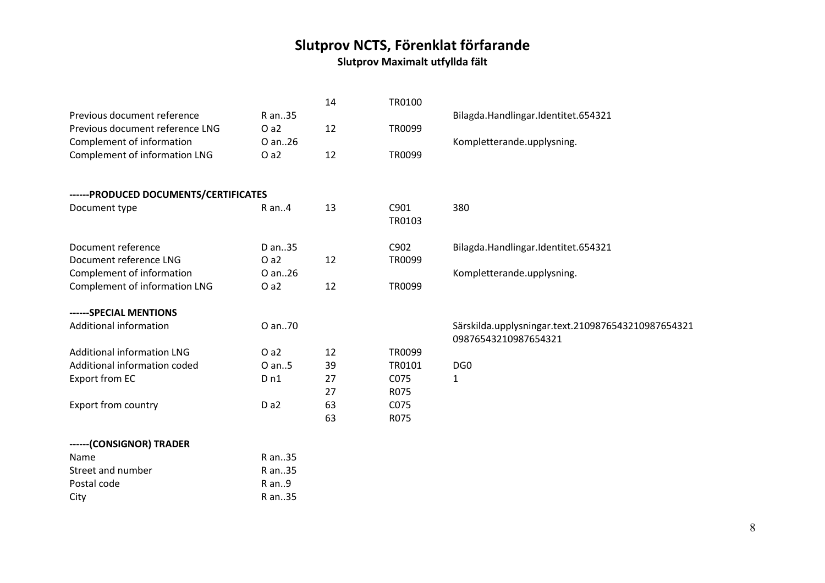|                                        |                 | 14 | TR0100 |                                                    |
|----------------------------------------|-----------------|----|--------|----------------------------------------------------|
| Previous document reference            | R an35          |    |        | Bilagda.Handlingar.Identitet.654321                |
| Previous document reference LNG        | Oa2             | 12 | TR0099 |                                                    |
| Complement of information              | O an26          |    |        | Kompletterande.upplysning.                         |
| Complement of information LNG          | Oa2             | 12 | TR0099 |                                                    |
|                                        |                 |    |        |                                                    |
| ------ PRODUCED DOCUMENTS/CERTIFICATES |                 |    |        |                                                    |
| Document type                          | R an4           | 13 | C901   | 380                                                |
|                                        |                 |    | TR0103 |                                                    |
| Document reference                     | D an35          |    | C902   | Bilagda.Handlingar.Identitet.654321                |
| Document reference LNG                 | Oa2             | 12 | TR0099 |                                                    |
| Complement of information              | O an26          |    |        | Kompletterande.upplysning.                         |
| Complement of information LNG          | Oa2             | 12 | TR0099 |                                                    |
|                                        |                 |    |        |                                                    |
| ------SPECIAL MENTIONS                 |                 |    |        |                                                    |
| Additional information                 | O an70          |    |        | Särskilda.upplysningar.text.2109876543210987654321 |
|                                        |                 |    |        | 09876543210987654321                               |
| <b>Additional information LNG</b>      | Oa2             | 12 | TR0099 |                                                    |
| Additional information coded           | O an5           | 39 | TR0101 | DG <sub>0</sub>                                    |
| <b>Export from EC</b>                  | D <sub>n1</sub> | 27 | C075   | $\mathbf 1$                                        |
|                                        |                 | 27 | R075   |                                                    |
| <b>Export from country</b>             | Da2             | 63 | C075   |                                                    |
|                                        |                 | 63 | R075   |                                                    |
| ------(CONSIGNOR) TRADER               |                 |    |        |                                                    |
| Name                                   | R an35          |    |        |                                                    |
| Street and number                      | R an35          |    |        |                                                    |
| Postal code                            | R an9           |    |        |                                                    |
| City                                   | R an35          |    |        |                                                    |
|                                        |                 |    |        |                                                    |